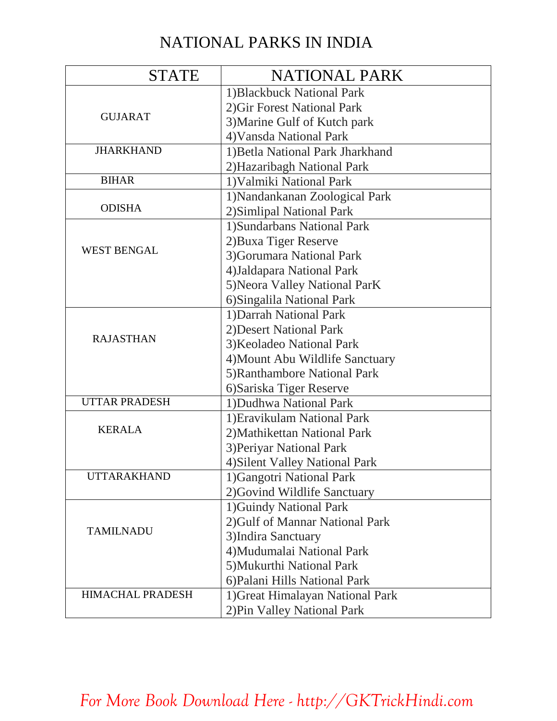## NATIONAL PARKS IN INDIA

| <b>STATE</b>            | <b>NATIONAL PARK</b>             |
|-------------------------|----------------------------------|
|                         | 1) Blackbuck National Park       |
|                         | 2) Gir Forest National Park      |
| <b>GUJARAT</b>          | 3) Marine Gulf of Kutch park     |
|                         | 4) Vansda National Park          |
| <b>JHARKHAND</b>        | 1) Betla National Park Jharkhand |
|                         | 2) Hazaribagh National Park      |
| <b>BIHAR</b>            | 1) Valmiki National Park         |
| <b>ODISHA</b>           | 1) Nandankanan Zoological Park   |
|                         | 2) Simlipal National Park        |
| <b>WEST BENGAL</b>      | 1) Sundarbans National Park      |
|                         | 2) Buxa Tiger Reserve            |
|                         | 3) Gorumara National Park        |
|                         | 4) Jaldapara National Park       |
|                         | 5) Neora Valley National ParK    |
|                         | 6) Singalila National Park       |
|                         | 1) Darrah National Park          |
|                         | 2) Desert National Park          |
| <b>RAJASTHAN</b>        | 3) Keoladeo National Park        |
|                         | 4) Mount Abu Wildlife Sanctuary  |
|                         | 5) Ranthambore National Park     |
|                         | 6) Sariska Tiger Reserve         |
| <b>UTTAR PRADESH</b>    | 1) Dudhwa National Park          |
| <b>KERALA</b>           | 1) Eravikulam National Park      |
|                         | 2) Mathikettan National Park     |
|                         | 3) Periyar National Park         |
|                         | 4) Silent Valley National Park   |
| <b>UTTARAKHAND</b>      | 1) Gangotri National Park        |
|                         | 2) Govind Wildlife Sanctuary     |
| <b>TAMILNADU</b>        | 1) Guindy National Park          |
|                         | 2) Gulf of Mannar National Park  |
|                         | 3) Indira Sanctuary              |
|                         | 4) Mudumalai National Park       |
|                         | 5) Mukurthi National Park        |
|                         | 6) Palani Hills National Park    |
| <b>HIMACHAL PRADESH</b> | 1) Great Himalayan National Park |
|                         | 2) Pin Valley National Park      |

*[For More Book Download Here - http://GKTrickHindi.com](http://gktrickhindi.com/)*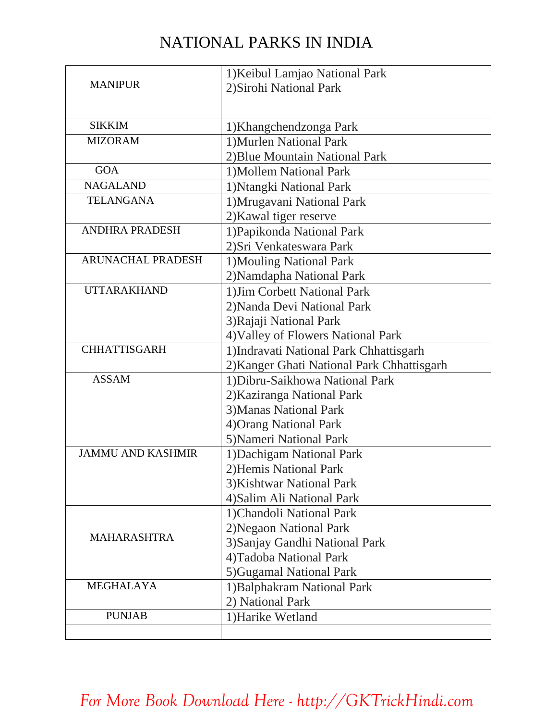## NATIONAL PARKS IN INDIA

|                          | 1) Keibul Lamjao National Park             |  |
|--------------------------|--------------------------------------------|--|
| <b>MANIPUR</b>           | 2) Sirohi National Park                    |  |
|                          |                                            |  |
| <b>SIKKIM</b>            |                                            |  |
| <b>MIZORAM</b>           | 1) Khangchendzonga Park                    |  |
|                          | 1) Murlen National Park                    |  |
|                          | 2) Blue Mountain National Park             |  |
| <b>GOA</b>               | 1) Mollem National Park                    |  |
| <b>NAGALAND</b>          | 1) Ntangki National Park                   |  |
| <b>TELANGANA</b>         | 1) Mrugavani National Park                 |  |
|                          | 2) Kawal tiger reserve                     |  |
| <b>ANDHRA PRADESH</b>    | 1) Papikonda National Park                 |  |
|                          | 2) Sri Venkateswara Park                   |  |
| <b>ARUNACHAL PRADESH</b> | 1) Mouling National Park                   |  |
|                          | 2) Namdapha National Park                  |  |
| <b>UTTARAKHAND</b>       | 1) Jim Corbett National Park               |  |
|                          | 2) Nanda Devi National Park                |  |
|                          | 3) Rajaji National Park                    |  |
|                          | 4) Valley of Flowers National Park         |  |
| <b>CHHATTISGARH</b>      | 1) Indravati National Park Chhattisgarh    |  |
|                          | 2) Kanger Ghati National Park Chhattisgarh |  |
| <b>ASSAM</b>             | 1) Dibru-Saikhowa National Park            |  |
|                          | 2) Kaziranga National Park                 |  |
|                          | 3) Manas National Park                     |  |
|                          | 4) Orang National Park                     |  |
|                          | 5) Nameri National Park                    |  |
| <b>JAMMU AND KASHMIR</b> | 1) Dachigam National Park                  |  |
|                          | 2) Hemis National Park                     |  |
|                          | 3) Kishtwar National Park                  |  |
|                          | 4) Salim Ali National Park                 |  |
|                          | 1) Chandoli National Park                  |  |
|                          | 2) Negaon National Park                    |  |
| <b>MAHARASHTRA</b>       | 3) Sanjay Gandhi National Park             |  |
|                          | 4) Tadoba National Park                    |  |
|                          | 5) Gugamal National Park                   |  |
| <b>MEGHALAYA</b>         | 1) Balphakram National Park                |  |
|                          | 2) National Park                           |  |
| <b>PUNJAB</b>            |                                            |  |
|                          | 1) Harike Wetland                          |  |
|                          |                                            |  |

## *[For More Book Download Here - http://GKTrickHindi.com](http://gktrickhindi.com/)*